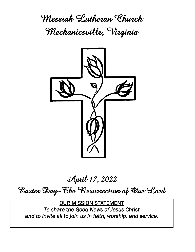**Messiah Lutheran Church Mechanicsville, Virginia**



**April 17, 2022**

**Easter Day-The Resurrection of Our Lord**

OUR MISSION STATEMENT *To share the Good News of Jesus Christ and to invite all to join us in faith, worship, and service.*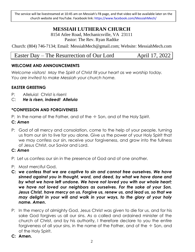The service will be livestreamed at 10:45 am on Messiah's FB page, and that video will be available later on the church website and YouTube. Facebook link: https://www.facebook.com/MessiahMech/

# **MESSIAH LUTHERAN CHURCH**

8154 Atlee Road, Mechanicsville, VA 23111 Pastor: The Rev. Ryan Radtke

Church: (804) 746-7134; Email: MessiahMech@gmail.com; Website: MessiahMech.com

# Easter Day – The Resurrection of Our Lord April 17, 2022

# **WELCOME AND ANNOUNCEMENTS**

*Welcome visitors! May the Spirit of Christ fill your heart as we worship today. You are invited to make Messiah your church home.*

# **EASTER GREETING**

- P: Alleluia! Christ is risen!
- C: *He is risen, indeed! Alleluia*

# **\*CONFESSION AND FORGIVENESS**

P: In the name of the Father, and of the  $\pm$  Son, and of the Holy Spirit.

# **C:** *Amen*

P: God of all mercy and consolation, come to the help of your people, turning us from our sin to live for you alone. Give us the power of your Holy Spirit that we may confess our sin, receive your forgiveness, and grow into the fullness of Jesus Christ, our Savior and Lord.

# **C:** *Amen*

- P: Let us confess our sin in the presence of God and of one another.
- P: Most merciful God,
- **C:** *we confess that we are captive to sin and cannot free ourselves. We have sinned against you in thought, word, and deed, by what we have done and by what we have left undone. We have not loved you with our whole heart; we have not loved our neighbors as ourselves. For the sake of your Son, Jesus Christ, have mercy on us. Forgive us, renew us, and lead us, so that we may delight in your will and walk in your ways, to the glory of your holy name. Amen***.**
- P: In the mercy of almighty God, Jesus Christ was given to die for us, and for his sake God forgives us all our sins. As a called and ordained minister of the church of Christ, and by his authority, I therefore declare to you the entire forgiveness of all your sins, in the name of the Father, and of the  $\pm$  Son, and of the Holy Spirit.
- **C: Amen.**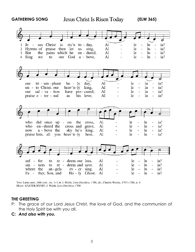GATHERING SONG **Jesus Christ Is Risen Today** (ELW 365)



Text: Latin carol, 14th cent., sts. 1-3; tr. J. Walsh, Lyra Davidica, 1708, alt.; Charles Wesley, 1707-1788, st. 4 Music: EASTER HYMN, J. Walsh, Lyra Davidica, 1708

#### **THE GREETING**

- P: The grace of our Lord Jesus Christ, the love of God, and the communion of the Holy Spirit be with you all.
- **C:** *And also with you.*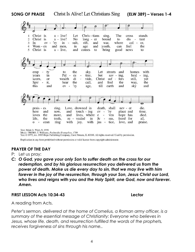**SONG OF PRAISE (ELW 389) – Verses 1-4**



Text: Brian A. Wren, b. 1936 Music: TRURO, T. Williams, Psalmodia Evangelica, 1789

Text © 1975, rev. 1995 Hope Publishing Company, Carol Stream, IL 60188. All rights reserved. Used by permission.

Duplication in any form prohibited without permission or valid license from copyright administrator.

# **PRAYER OF THE DAY**

P: Let us pray:

*C: O God, you gave your only Son to suffer death on the cross for our redemption, and by his glorious resurrection you delivered us from the power of death. Make us die every day to sin, that we may live with him forever in the joy of the resurrection, through your Son, Jesus Christ our Lord, who lives and reigns with you and the Holy Spirit, one God, now and forever. Amen.*

## **FIRST LESSON Acts 10:34-43 Lector**

A reading from Acts.

*Peter's sermon, delivered at the home of Cornelius, a Roman army officer, is a summary of the essential message of Christianity: Everyone who believes in Jesus, whose life, death, and resurrection fulfilled the words of the prophets, receives forgiveness of sins through his name..*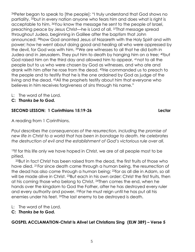<sup>34</sup>Peter began to speak to [the people]: "I truly understand that God shows no partiality, 35but in every nation anyone who fears him and does what is right is acceptable to him. 36You know the message he sent to the people of Israel, preaching peace by Jesus Christ—he is Lord of all. 37That message spread throughout Judea, beginning in Galilee after the baptism that John announced: 38how God anointed Jesus of Nazareth with the Holy Spirit and with power; how he went about doing good and healing all who were oppressed by the devil, for God was with him. 39We are witnesses to all that he did both in Judea and in Jerusalem. They put him to death by hanging him on a tree; 40but God raised him on the third day and allowed him to appear, 41not to all the people but to us who were chosen by God as witnesses, and who ate and drank with him after he rose from the dead. 42He commanded us to preach to the people and to testify that he is the one ordained by God as judge of the living and the dead. <sup>43</sup>All the prophets testify about him that everyone who believes in him receives forgiveness of sins through his name."

- L: The word of the Lord.
- **C:** *Thanks be to God.*

# **SECOND LESSON: 1 Corinthians 15:19-26 Lector**

A reading from 1 Corinthians.

*Paul describes the consequences of the resurrection, including the promise of new life in Christ to a world that has been in bondage to death. He celebrates the destruction of evil and the establishment of God's victorious rule over all.*

<sup>19</sup>If for this life only we have hoped in Christ, we are of all people most to be pitied.

<sup>20</sup>But in fact Christ has been raised from the dead, the first fruits of those who have died. 21For since death came through a human being, the resurrection of the dead has also come through a human being; 22for as all die in Adam, so all will be made alive in Christ. <sup>23</sup>But each in his own order: Christ the first fruits, then at his coming those who belong to Christ. 24Then comes the end, when he hands over the kingdom to God the Father, after he has destroyed every ruler and every authority and power. 25For he must reign until he has put all his enemies under his feet. 26The last enemy to be destroyed is death.

- L: The word of the Lord.
- **C:** *Thanks be to God.*

# **GOSPEL ACCLAMATION-Christ Is Alive! Let Christians Sing (ELW 389) – Verse 5**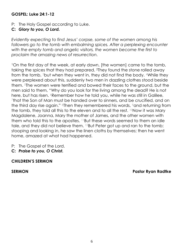## **GOSPEL: Luke 24:1-12**

- P: The Holy Gospel according to Luke.
- **C:** *Glory to you, O Lord.*

*Evidently expecting to find Jesus' corpse, some of the women among his*  followers go to the tomb with embalming spices. After a perplexing encounter *with the empty tomb and angelic visitors, the women become the first to proclaim the amazing news of resurrection.*

<sup>1</sup>On the first day of the week, at early dawn, [the women] came to the tomb, taking the spices that they had prepared. 2They found the stone rolled away from the tomb, 3but when they went in, they did not find the body. 4While they were perplexed about this, suddenly two men in dazzling clothes stood beside them. 5The women were terrified and bowed their faces to the ground, but the men said to them, "Why do you look for the living among the dead? He is not here, but has risen. <sup>6</sup>Remember how he told you, while he was still in Galilee, <sup>7</sup>that the Son of Man must be handed over to sinners, and be crucified, and on the third day rise again." <sup>8</sup>Then they remembered his words, <sup>9</sup>and returning from the tomb, they told all this to the eleven and to all the rest. 10Now it was Mary Magdalene, Joanna, Mary the mother of James, and the other women with them who told this to the apostles. 11But these words seemed to them an idle tale, and they did not believe them. <sup>12</sup>But Peter got up and ran to the tomb; stooping and looking in, he saw the linen cloths by themselves; then he went home, amazed at what had happened.

P: The Gospel of the Lord.

**C:** *Praise to you, O Christ.*

## **CHILDREN'S SERMON**

**SERMON Pastor Ryan Radtke**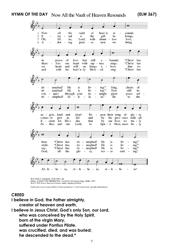

Text: Paul Z. Strodach, 1876–1947, alt.<br>Music: LASST UNS ERFREUEN, *Geistliche Kirchengesänge*, Köln, 1623 Text © 1958 Service Book and Hymnal. admin. Augsburg Fortress

Duplication in any form prohibited without permission or valid license from copyright administrator.

## **CREED**

**I believe in God, the Father almighty, creator of heaven and earth. I believe in Jesus Christ, God's only Son, our Lord, who was conceived by the Holy Spirit, born of the virgin Mary, suffered under Pontius Pilate, was crucified, died, and was buried; he descended to the dead.\***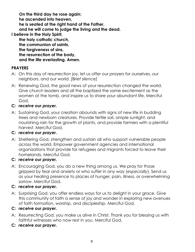**On the third day he rose again; he ascended into heaven, he is seated at the right hand of the Father, and he will come to judge the living and the dead. I believe in the Holy Spirit, the holy catholic church, the communion of saints, the forgiveness of sins, the resurrection of the body, and the life everlasting. Amen.**

# **PRAYERS**

- A: On this day of resurrection joy, let us offer our prayers for ourselves, our neighbors, and our world. *[Brief silence]*
- A: Renewing God, the good news of your resurrection changed the world. Give church leaders and all the baptized the same excitement as the women at the tomb, and inspire us to share your abundant life. Merciful God,
- **C:** *receive our prayer.*
- A: Sustaining God, your creation abounds with signs of new life in budding trees and newborn creatures. Provide fertile soil, ample sunlight, and nourishing rain for the growth of plants, and provide farmers with a plentiful harvest. Merciful God,

# **C:** *receive our prayer.*

A: Sheltering God, strengthen and sustain all who support vulnerable people across the world. Empower government agencies and international organizations that provide for refugees and migrants forced to leave their homelands. Merciful God,

# **C:** *receive our prayer.*

A: Encouraging God, you do a new thing among us. We pray for those gripped by fear and anxiety or who suffer in any way (*especially*). Send us as your healing presence to places of hunger, pain, illness, or overwhelming sorrow. Merciful God,

# **C:** *receive our prayer.*

A: Surprising God, you offer endless ways for us to delight in your grace. Give this community of faith a sense of joy and wonder in exploring new avenues of faith formation, worship, and discipleship. Merciful God,

# **C:** *receive our prayer.*

- A: Resurrecting God, you make us alive in Christ. Thank you for blessing us with faithful witnesses who now rest in you. Merciful God,
- **C:** *receive our prayer.*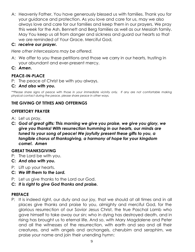A: Heavenly Father, You have generously blessed us with families. Thank you for your guidance and protection. As you love and care for us, may we also always love and care for our families and keep them in our prayers. We pray this week for the Ash, Bennett and Berg families as well as our Messiah family. May You keep us all from danger and sickness and guard our hearts so that we are reminded of Your Grace. Merciful God,

# **C:** *receive our prayer.*

*Here other intercessions may be offered.*

- A: We offer to you these petitions and those we carry in our hearts, trusting in your abundant and ever-present mercy.
- **C:** *Amen***.**

# **PEACE-IN-PLACE**

- P: The peace of Christ be with you always.
- **C***: And also with you.*

*\*\*Please share signs of peace with those in your immediate vicinity only. If any are not comfortable making physical contact during the peace, please share peace in other ways.*

# **THE GIVING OF TITHES AND OFFERINGS**

# **OFFERTORY PRAYER**

- A: Let us pray.
- **C:** *God of great gifts: This morning we give you praise, we give you glory, we give you thanks! With resurrection humming in our hearts, our minds are tuned to your song of peace! We joyfully present these gifts to you, a tangible chorus of thanksgiving, a harmony of hope for your kingdom come!. Amen*

# **GREAT THANKSGIVING**

- P: The Lord be with you.
- **C:** *And also with you.*
- P: Lift up your hearts.
- **C:** *We lift them to the Lord.*
- P: Let us give thanks to the Lord our God.
- **C:** *It is right to give God thanks and praise.*

## **PREFACE**

P: It is indeed right, our duty and our joy, that we should at all times and in all places give thanks and praise to you, almighty and merciful God, for the glorious resurrection of our Savior Jesus Christ, the true Paschal Lamb who gave himself to take away our sin; who in dying has destroyed death, and in rising has brought us to eternal life. And so, with Mary Magdalene and Peter and all the witnesses of the resurrection, with earth and sea and all their creatures, and with angels and archangels, cherubim and seraphim, we praise your name and join their unending hymn: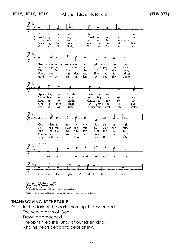**HOLY, HOLY, HOLY (ELW 377)**



Duplication in any form prohibited without permission or valid license from copyright administrator.

# **THANKSGIVING AT THE TABLE**

P: In the dark of the early morning, It descended. The very breath of God. Dawn approached. The Spirit filled the lungs of our fallen king,

And his heart began to beat anew.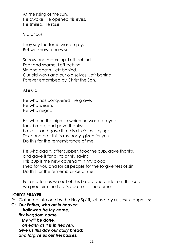At the rising of the sun, He awoke. He opened his eyes. He smiled. He rose.

Victorious.

They say the tomb was empty, But we know otherwise.

Sorrow and mourning. Left behind. Fear and shame. Left behind. Sin and death. Left behind. Our old ways and our old selves. Left behind. Forever entombed by Christ the Son.

Alleluia!

He who has conquered the grave. He who is risen. He who reigns.

He who on the night in which he was betrayed, took bread, and gave thanks; broke it, and gave it to his disciples, saying: Take and eat; this is my body, given for you. Do this for the remembrance of me.

He who again, after supper, took the cup, gave thanks, and gave it for all to drink, saying: This cup is the new covenant in my blood, shed for you and for all people for the forgiveness of sin. Do this for the remembrance of me.

For as often as we eat of this bread and drink from this cup, we proclaim the Lord's death until he comes.

## **LORD'S PRAYER**

P: Gathered into one by the Holy Spirit, let us pray as Jesus taught us:

**C:** *Our Father, who art in heaven, hallowed be thy name, thy kingdom come, thy will be done, on earth as it is in heaven. Give us this day our daily bread; and forgive us our trespasses,*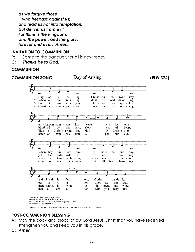*as we forgive those who trespass against us; and lead us not into temptation, but deliver us from evil. For thine is the kingdom, and the power, and the glory, forever and ever. Amen.*

## **INVITATION TO COMMUNION**

- P: Come to the banquet, for all is now ready.
- **C:** *Thanks be to God.*

## **COMMUNION**

# **COMMUNION SONG** Day of Arising (ELW 374)



Duplication in any form prohibited without permission or valid license from copyright administrator.

# **POST-COMMUNION BLESSING**

- A: May the body and blood of our Lord Jesus Christ that you have received strengthen you and keep you in his grace.
- **C:** *Amen*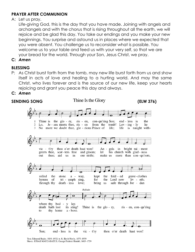# **PRAYER AFTER COMMUNION**

A: Let us pray.

Life-giving God, this is the day that you have made. Joining with angels and archangels and with the chorus that is rising throughout all the earth, we will rejoice and be glad this day. You take our endings and you make your new beginnings. You surprise and astound us in places where we expected that you were absent. You challenge us to reconsider what is possible. You welcome us to your table and feed us with your very self, so that we are your bread for the world. Through your Son, Jesus Christ, we pray.

**C:** *Amen*

# **BLESSING**

P: As Christ burst forth from the tomb, may new life burst forth from us and show itself in acts of love and healing to a hurting world. And may the same Christ, who lives forever and is the source of our new life, keep your hearts rejoicing and grant you peace this day and always.

# **C:** *Amen*



Text: Edmond Budry, 1854-1932; tr. R. Birch Hoyle, 1875-1939 Music: JUDAS MACCABAEUS, George Frideric Handel, 1685-1759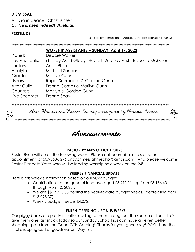# **DISMISSAL**

A: Go in peace. Christ is risen!

**C:** *He is risen indeed! Alleluia!.*

# **POSTLUDE**

(Text used by permission of Augsburg Fortress license #11886-S)

*\*\*\*\*\*\*\*\*\*\*\*\*\*\*\*\*\*\*\*\*\*\*\*\*\*\*\*\*\*\*\*\*\*\*\*\*\*\*\*\*\*\*\*\*\*\*\*\*\*\*\*\*\*\*\*\*\*\*\*\*\*\*\*\*\*\*\*\*\*\*\*\*\*\*\*\*\*\*\*\*\*\*\*\*\*\*\*\*\*\*\*\*\*\*\*\*\**

## **WORSHIP ASSISTANTS – SUNDAY, April 17, 2022**

| Pianist:        | Debbie Walker                                                  |
|-----------------|----------------------------------------------------------------|
| Lay Assistants: | (1st Lay Asst.) Gladys Hubert (2nd Lay Asst.) Roberta McMillen |
| Lectors:        | Anita Philp                                                    |
| Acolyte:        | Michael Sondor                                                 |
| Greeter:        | Marilyn Gunn                                                   |
| Ushers:         | Roger Schroeder & Gordon Gunn                                  |
| Altar Guild:    | Donna Combs & Marilyn Gunn                                     |
| Counters:       | Marilyn & Gordon Gunn                                          |
| Live Streamer:  | Donna Shaw                                                     |

*\*\*\*\*\*\*\*\*\*\*\*\*\*\*\*\*\*\*\*\*\*\*\*\*\*\*\*\*\*\*\*\*\*\*\*\*\*\*\*\*\*\*\*\*\*\*\*\*\*\*\*\*\*\*\*\*\*\*\*\*\*\*\*\*\*\*\*\*\*\*\*\*\*\*\*\*\*\*\*\*\*\*\*\*\*\*\*\*\*\*\*\*\*\*\*\*\**

Altar Flowers for Easter Sunday were given by Donna Combs.

\*\*\*\*\*\*\*\*\*\*\*\*\*\*\*\*\*\*\*\*\*\*\*\*\*\*\*\*\*\*\*\*\*\*\*\*\*\*\*\*\*\*\*\*\*\*\*\*\*\*\*\*\*\*\*\*\*\*\*\*\*\*\*\*\*\*\*\*\*\*\*\*\*\*\*\*\*\*\*\*\*\*\*\*\*\*\*\*\*\*\*\*\*\*\*\*\*\*



## **PASTOR RYAN'S OFFICE HOURS**

Pastor Ryan will be off the following week. Please call or email him to set up an appointment, at 507-360-7276 and/or messiahmechpr@gmail.com. And please welcome Pastor Elizabeth Yates who will be leading worship next week on the 24<sup>th</sup>.

# **WEEKLY FINANCIAL UPDATE**

Here is this week's information based on our 2022 budget.

- Contributions to the general fund averaged \$3,211.11 (up from \$3,136.40 through April 10, 2022).
- We are \$\$12,913.35 behind the year-to-date budget needs. (decreasing from \$13,098.37)
- Weekly budget need is \$4,072.

# **LENTEN OFFERING - BONUS WEEK!**

Our piggy banks are pretty full after adding to them throughout the season of Lent. Let's give them one last snack today so our Sunday School kids can have an even better shopping spree from the Good Gifts Catalog! Thanks for your generosity! We'll share the final shopping cart of goodness on May 1st!